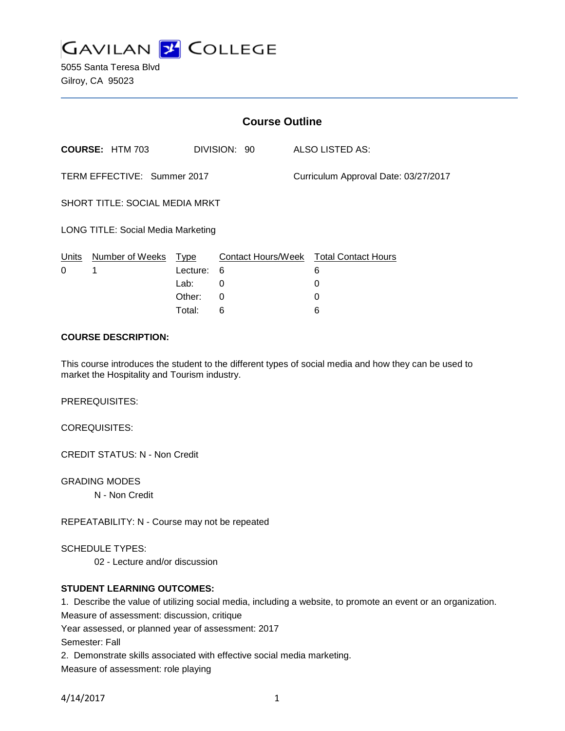

5055 Santa Teresa Blvd Gilroy, CA 95023

|                                           | <b>Course Outline</b>  |          |              |                                      |                                        |
|-------------------------------------------|------------------------|----------|--------------|--------------------------------------|----------------------------------------|
|                                           | <b>COURSE: HTM 703</b> |          | DIVISION: 90 |                                      | <b>ALSO LISTED AS:</b>                 |
| TERM EFFECTIVE: Summer 2017               |                        |          |              | Curriculum Approval Date: 03/27/2017 |                                        |
| SHORT TITLE: SOCIAL MEDIA MRKT            |                        |          |              |                                      |                                        |
| <b>LONG TITLE: Social Media Marketing</b> |                        |          |              |                                      |                                        |
| Units                                     | Number of Weeks Type   |          |              |                                      | Contact Hours/Week Total Contact Hours |
| 0                                         | 1                      | Lecture: | 6            |                                      | 6                                      |
|                                           |                        | Lab:     | 0            |                                      | 0                                      |
|                                           |                        | Other:   | 0            |                                      | 0                                      |
|                                           |                        | Total:   | 6            |                                      | 6                                      |

## **COURSE DESCRIPTION:**

This course introduces the student to the different types of social media and how they can be used to market the Hospitality and Tourism industry.

PREREQUISITES:

COREQUISITES:

CREDIT STATUS: N - Non Credit

GRADING MODES

N - Non Credit

REPEATABILITY: N - Course may not be repeated

SCHEDULE TYPES:

02 - Lecture and/or discussion

## **STUDENT LEARNING OUTCOMES:**

1. Describe the value of utilizing social media, including a website, to promote an event or an organization. Measure of assessment: discussion, critique

Year assessed, or planned year of assessment: 2017

Semester: Fall

2. Demonstrate skills associated with effective social media marketing.

Measure of assessment: role playing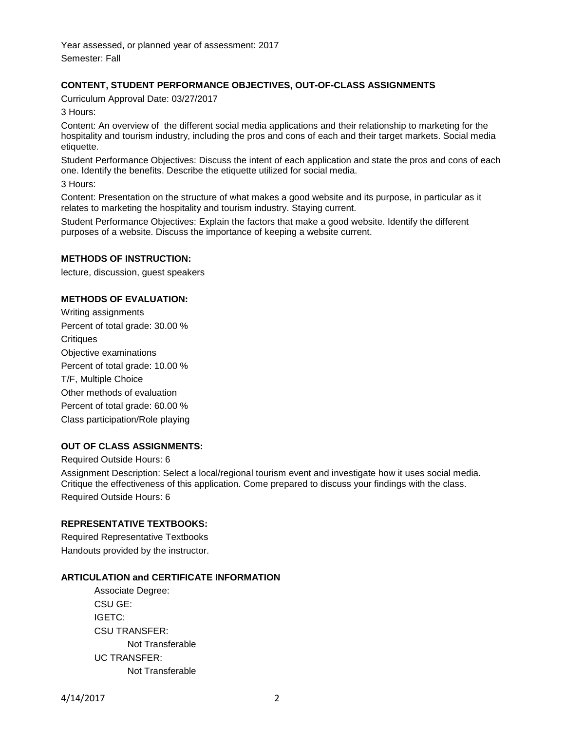Year assessed, or planned year of assessment: 2017 Semester: Fall

## **CONTENT, STUDENT PERFORMANCE OBJECTIVES, OUT-OF-CLASS ASSIGNMENTS**

Curriculum Approval Date: 03/27/2017

3 Hours:

Content: An overview of the different social media applications and their relationship to marketing for the hospitality and tourism industry, including the pros and cons of each and their target markets. Social media etiquette.

Student Performance Objectives: Discuss the intent of each application and state the pros and cons of each one. Identify the benefits. Describe the etiquette utilized for social media.

3 Hours:

Content: Presentation on the structure of what makes a good website and its purpose, in particular as it relates to marketing the hospitality and tourism industry. Staying current.

Student Performance Objectives: Explain the factors that make a good website. Identify the different purposes of a website. Discuss the importance of keeping a website current.

#### **METHODS OF INSTRUCTION:**

lecture, discussion, guest speakers

#### **METHODS OF EVALUATION:**

Writing assignments Percent of total grade: 30.00 % **Critiques** Objective examinations Percent of total grade: 10.00 % T/F, Multiple Choice Other methods of evaluation Percent of total grade: 60.00 % Class participation/Role playing

#### **OUT OF CLASS ASSIGNMENTS:**

Required Outside Hours: 6 Assignment Description: Select a local/regional tourism event and investigate how it uses social media. Critique the effectiveness of this application. Come prepared to discuss your findings with the class. Required Outside Hours: 6

#### **REPRESENTATIVE TEXTBOOKS:**

Required Representative Textbooks Handouts provided by the instructor.

#### **ARTICULATION and CERTIFICATE INFORMATION**

Associate Degree: CSU GE: IGETC: CSU TRANSFER: Not Transferable UC TRANSFER: Not Transferable